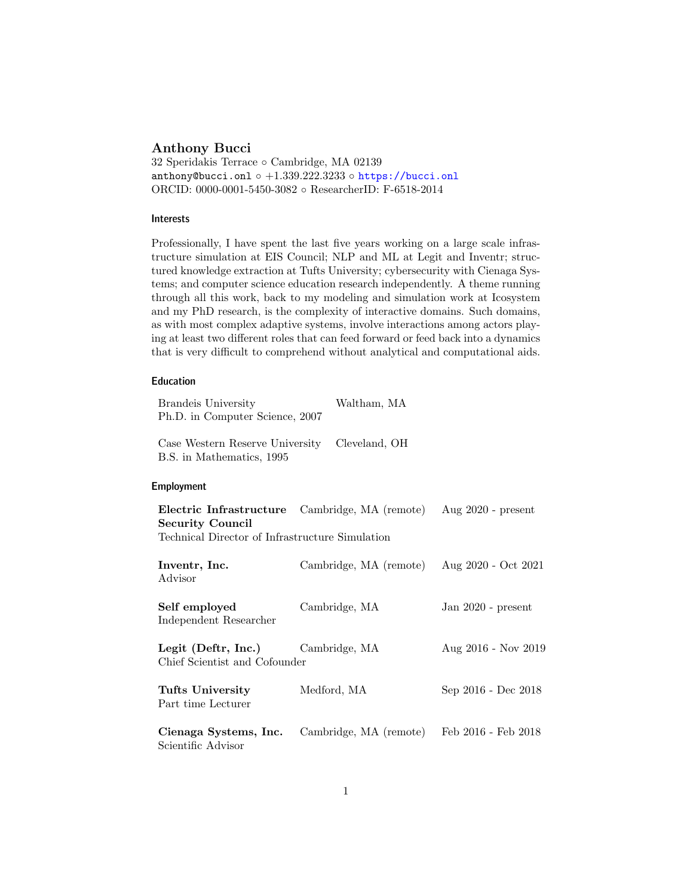# Anthony Bucci

32 Speridakis Terrace ◦ Cambridge, MA 02139 anthony@bucci.onl ◦  $+1.339.222.3233$  ◦ <https://bucci.onl> ORCID: 0000-0001-5450-3082 ◦ ResearcherID: F-6518-2014

# Interests

Professionally, I have spent the last five years working on a large scale infrastructure simulation at EIS Council; NLP and ML at Legit and Inventr; structured knowledge extraction at Tufts University; cybersecurity with Cienaga Systems; and computer science education research independently. A theme running through all this work, back to my modeling and simulation work at Icosystem and my PhD research, is the complexity of interactive domains. Such domains, as with most complex adaptive systems, involve interactions among actors playing at least two different roles that can feed forward or feed back into a dynamics that is very difficult to comprehend without analytical and computational aids.

#### Education

| <b>Brandeis University</b><br>Ph.D. in Computer Science, 2007                                         | Waltham, MA            |                      |
|-------------------------------------------------------------------------------------------------------|------------------------|----------------------|
| Case Western Reserve University<br>B.S. in Mathematics, 1995                                          | Cleveland, OH          |                      |
| <b>Employment</b>                                                                                     |                        |                      |
| Electric Infrastructure<br><b>Security Council</b><br>Technical Director of Infrastructure Simulation | Cambridge, MA (remote) | Aug $2020$ - present |
| Inventr, Inc.<br>Advisor                                                                              | Cambridge, MA (remote) | Aug 2020 - Oct 2021  |
| Self employed<br>Independent Researcher                                                               | Cambridge, MA          | Jan $2020$ - present |
| Legit (Deftr, Inc.)<br>Chief Scientist and Cofounder                                                  | Cambridge, MA          | Aug 2016 - Nov 2019  |
| Tufts University<br>Part time Lecturer                                                                | Medford, MA            | Sep 2016 - Dec 2018  |
| Cienaga Systems, Inc.<br>Scientific Advisor                                                           | Cambridge, MA (remote) | Feb 2016 - Feb 2018  |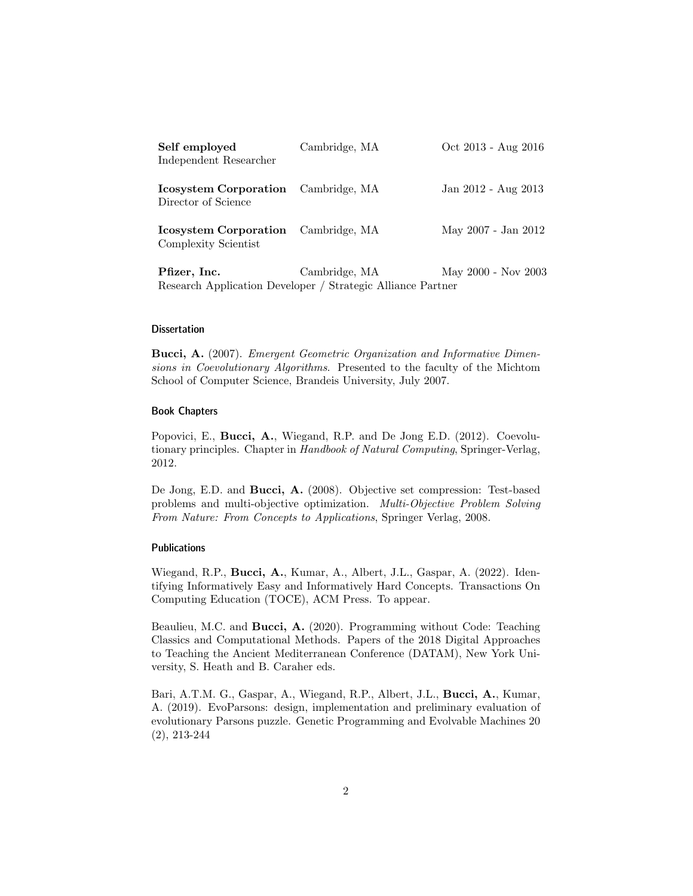| Self employed<br>Independent Researcher                            | Cambridge, MA | Oct 2013 - Aug 2016 |
|--------------------------------------------------------------------|---------------|---------------------|
| <b>Icosystem Corporation</b> Cambridge, MA<br>Director of Science  |               | Jan 2012 - Aug 2013 |
| <b>Icosystem Corporation</b> Cambridge, MA<br>Complexity Scientist |               | May 2007 - Jan 2012 |
| Pfizer, Inc.                                                       | Cambridge, MA | May 2000 - Nov 2003 |

#### **Dissertation**

Bucci, A. (2007). *Emergent Geometric Organization and Informative Dimen*sions in Coevolutionary Algorithms. Presented to the faculty of the Michtom School of Computer Science, Brandeis University, July 2007.

Research Application Developer / Strategic Alliance Partner

#### Book Chapters

Popovici, E., Bucci, A., Wiegand, R.P. and De Jong E.D. (2012). Coevolutionary principles. Chapter in Handbook of Natural Computing, Springer-Verlag, 2012.

De Jong, E.D. and Bucci, A. (2008). Objective set compression: Test-based problems and multi-objective optimization. Multi-Objective Problem Solving From Nature: From Concepts to Applications, Springer Verlag, 2008.

### Publications

Wiegand, R.P., Bucci, A., Kumar, A., Albert, J.L., Gaspar, A. (2022). Identifying Informatively Easy and Informatively Hard Concepts. Transactions On Computing Education (TOCE), ACM Press. To appear.

Beaulieu, M.C. and Bucci, A. (2020). Programming without Code: Teaching Classics and Computational Methods. Papers of the 2018 Digital Approaches to Teaching the Ancient Mediterranean Conference (DATAM), New York University, S. Heath and B. Caraher eds.

Bari, A.T.M. G., Gaspar, A., Wiegand, R.P., Albert, J.L., Bucci, A., Kumar, A. (2019). EvoParsons: design, implementation and preliminary evaluation of evolutionary Parsons puzzle. Genetic Programming and Evolvable Machines 20 (2), 213-244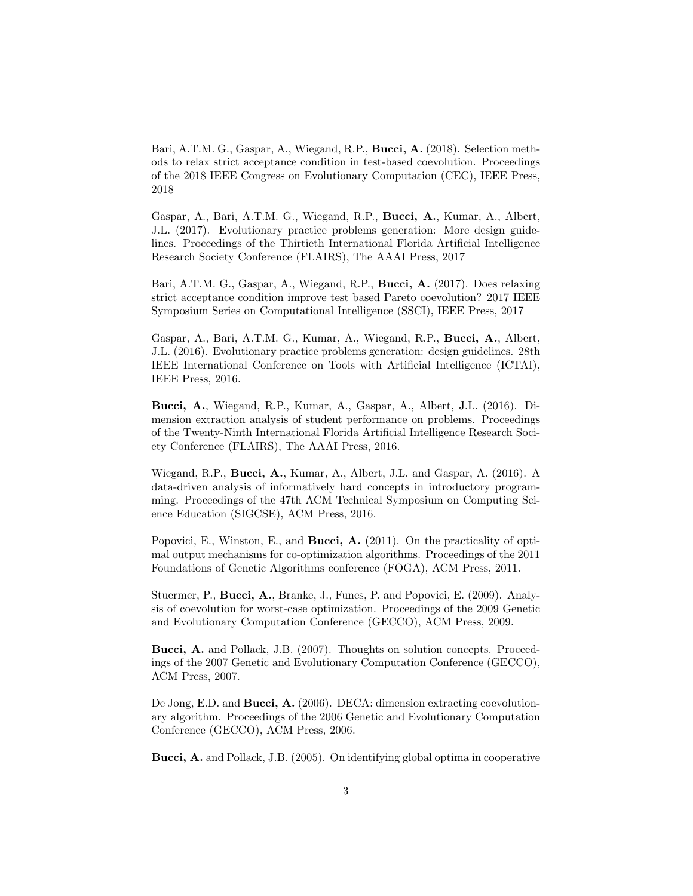Bari, A.T.M. G., Gaspar, A., Wiegand, R.P., Bucci, A. (2018). Selection methods to relax strict acceptance condition in test-based coevolution. Proceedings of the 2018 IEEE Congress on Evolutionary Computation (CEC), IEEE Press, 2018

Gaspar, A., Bari, A.T.M. G., Wiegand, R.P., Bucci, A., Kumar, A., Albert, J.L. (2017). Evolutionary practice problems generation: More design guidelines. Proceedings of the Thirtieth International Florida Artificial Intelligence Research Society Conference (FLAIRS), The AAAI Press, 2017

Bari, A.T.M. G., Gaspar, A., Wiegand, R.P., Bucci, A. (2017). Does relaxing strict acceptance condition improve test based Pareto coevolution? 2017 IEEE Symposium Series on Computational Intelligence (SSCI), IEEE Press, 2017

Gaspar, A., Bari, A.T.M. G., Kumar, A., Wiegand, R.P., Bucci, A., Albert, J.L. (2016). Evolutionary practice problems generation: design guidelines. 28th IEEE International Conference on Tools with Artificial Intelligence (ICTAI), IEEE Press, 2016.

Bucci, A., Wiegand, R.P., Kumar, A., Gaspar, A., Albert, J.L. (2016). Dimension extraction analysis of student performance on problems. Proceedings of the Twenty-Ninth International Florida Artificial Intelligence Research Society Conference (FLAIRS), The AAAI Press, 2016.

Wiegand, R.P., Bucci, A., Kumar, A., Albert, J.L. and Gaspar, A. (2016). A data-driven analysis of informatively hard concepts in introductory programming. Proceedings of the 47th ACM Technical Symposium on Computing Science Education (SIGCSE), ACM Press, 2016.

Popovici, E., Winston, E., and **Bucci, A.** (2011). On the practicality of optimal output mechanisms for co-optimization algorithms. Proceedings of the 2011 Foundations of Genetic Algorithms conference (FOGA), ACM Press, 2011.

Stuermer, P., Bucci, A., Branke, J., Funes, P. and Popovici, E. (2009). Analysis of coevolution for worst-case optimization. Proceedings of the 2009 Genetic and Evolutionary Computation Conference (GECCO), ACM Press, 2009.

Bucci, A. and Pollack, J.B. (2007). Thoughts on solution concepts. Proceedings of the 2007 Genetic and Evolutionary Computation Conference (GECCO), ACM Press, 2007.

De Jong, E.D. and Bucci, A. (2006). DECA: dimension extracting coevolutionary algorithm. Proceedings of the 2006 Genetic and Evolutionary Computation Conference (GECCO), ACM Press, 2006.

Bucci, A. and Pollack, J.B. (2005). On identifying global optima in cooperative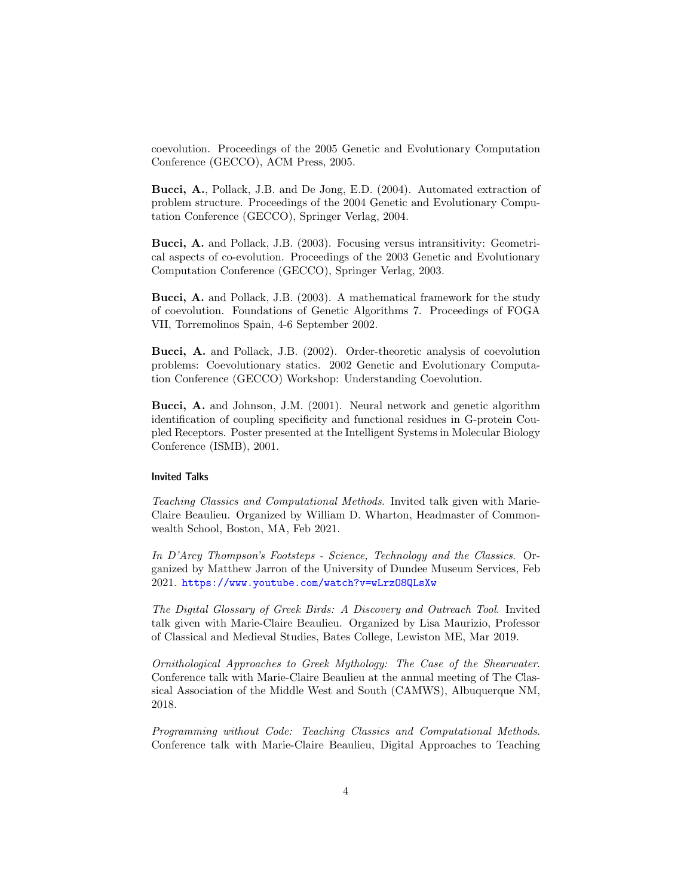coevolution. Proceedings of the 2005 Genetic and Evolutionary Computation Conference (GECCO), ACM Press, 2005.

Bucci, A., Pollack, J.B. and De Jong, E.D. (2004). Automated extraction of problem structure. Proceedings of the 2004 Genetic and Evolutionary Computation Conference (GECCO), Springer Verlag, 2004.

Bucci, A. and Pollack, J.B. (2003). Focusing versus intransitivity: Geometrical aspects of co-evolution. Proceedings of the 2003 Genetic and Evolutionary Computation Conference (GECCO), Springer Verlag, 2003.

Bucci, A. and Pollack, J.B. (2003). A mathematical framework for the study of coevolution. Foundations of Genetic Algorithms 7. Proceedings of FOGA VII, Torremolinos Spain, 4-6 September 2002.

Bucci, A. and Pollack, J.B. (2002). Order-theoretic analysis of coevolution problems: Coevolutionary statics. 2002 Genetic and Evolutionary Computation Conference (GECCO) Workshop: Understanding Coevolution.

Bucci, A. and Johnson, J.M. (2001). Neural network and genetic algorithm identification of coupling specificity and functional residues in G-protein Coupled Receptors. Poster presented at the Intelligent Systems in Molecular Biology Conference (ISMB), 2001.

#### Invited Talks

Teaching Classics and Computational Methods. Invited talk given with Marie-Claire Beaulieu. Organized by William D. Wharton, Headmaster of Commonwealth School, Boston, MA, Feb 2021.

In D'Arcy Thompson's Footsteps - Science, Technology and the Classics. Organized by Matthew Jarron of the University of Dundee Museum Services, Feb 2021. <https://www.youtube.com/watch?v=wLrzO8QLsXw>

The Digital Glossary of Greek Birds: A Discovery and Outreach Tool. Invited talk given with Marie-Claire Beaulieu. Organized by Lisa Maurizio, Professor of Classical and Medieval Studies, Bates College, Lewiston ME, Mar 2019.

Ornithological Approaches to Greek Mythology: The Case of the Shearwater. Conference talk with Marie-Claire Beaulieu at the annual meeting of The Classical Association of the Middle West and South (CAMWS), Albuquerque NM, 2018.

Programming without Code: Teaching Classics and Computational Methods. Conference talk with Marie-Claire Beaulieu, Digital Approaches to Teaching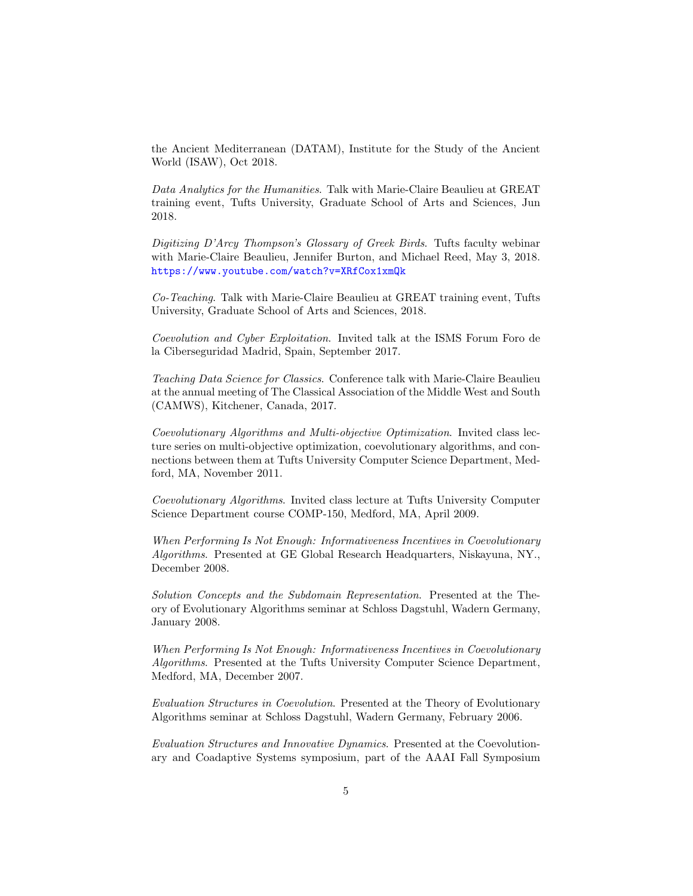the Ancient Mediterranean (DATAM), Institute for the Study of the Ancient World (ISAW), Oct 2018.

Data Analytics for the Humanities. Talk with Marie-Claire Beaulieu at GREAT training event, Tufts University, Graduate School of Arts and Sciences, Jun 2018.

Digitizing D'Arcy Thompson's Glossary of Greek Birds. Tufts faculty webinar with Marie-Claire Beaulieu, Jennifer Burton, and Michael Reed, May 3, 2018. <https://www.youtube.com/watch?v=XRfCox1xmQk>

Co-Teaching. Talk with Marie-Claire Beaulieu at GREAT training event, Tufts University, Graduate School of Arts and Sciences, 2018.

Coevolution and Cyber Exploitation. Invited talk at the ISMS Forum Foro de la Ciberseguridad Madrid, Spain, September 2017.

Teaching Data Science for Classics. Conference talk with Marie-Claire Beaulieu at the annual meeting of The Classical Association of the Middle West and South (CAMWS), Kitchener, Canada, 2017.

Coevolutionary Algorithms and Multi-objective Optimization. Invited class lecture series on multi-objective optimization, coevolutionary algorithms, and connections between them at Tufts University Computer Science Department, Medford, MA, November 2011.

Coevolutionary Algorithms. Invited class lecture at Tufts University Computer Science Department course COMP-150, Medford, MA, April 2009.

When Performing Is Not Enough: Informativeness Incentives in Coevolutionary Algorithms. Presented at GE Global Research Headquarters, Niskayuna, NY., December 2008.

Solution Concepts and the Subdomain Representation. Presented at the Theory of Evolutionary Algorithms seminar at Schloss Dagstuhl, Wadern Germany, January 2008.

When Performing Is Not Enough: Informativeness Incentives in Coevolutionary Algorithms. Presented at the Tufts University Computer Science Department, Medford, MA, December 2007.

Evaluation Structures in Coevolution. Presented at the Theory of Evolutionary Algorithms seminar at Schloss Dagstuhl, Wadern Germany, February 2006.

Evaluation Structures and Innovative Dynamics. Presented at the Coevolutionary and Coadaptive Systems symposium, part of the AAAI Fall Symposium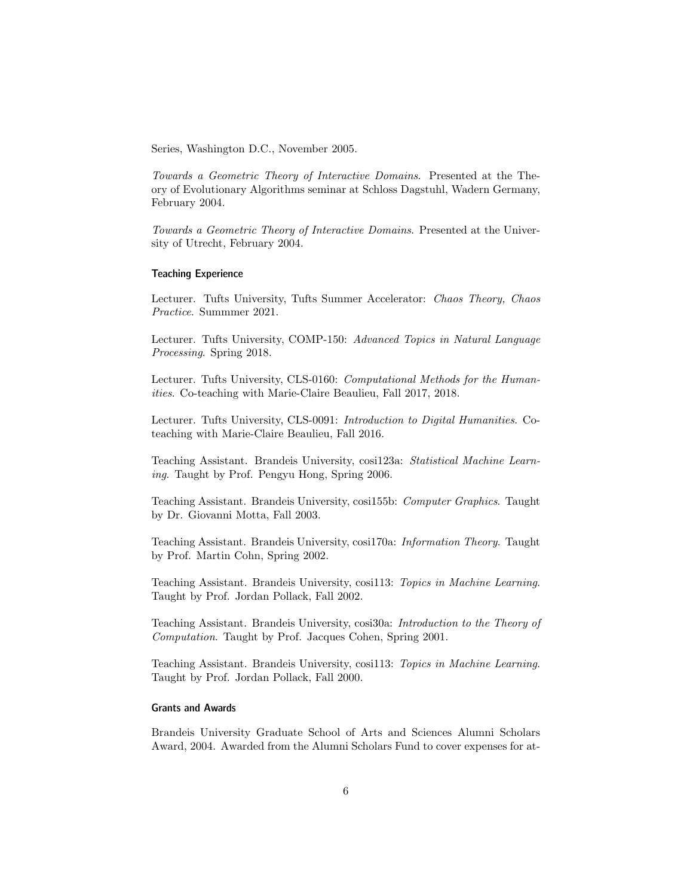Series, Washington D.C., November 2005.

Towards a Geometric Theory of Interactive Domains. Presented at the Theory of Evolutionary Algorithms seminar at Schloss Dagstuhl, Wadern Germany, February 2004.

Towards a Geometric Theory of Interactive Domains. Presented at the University of Utrecht, February 2004.

### Teaching Experience

Lecturer. Tufts University, Tufts Summer Accelerator: Chaos Theory, Chaos Practice. Summmer 2021.

Lecturer. Tufts University, COMP-150: Advanced Topics in Natural Language Processing. Spring 2018.

Lecturer. Tufts University, CLS-0160: Computational Methods for the Humanities. Co-teaching with Marie-Claire Beaulieu, Fall 2017, 2018.

Lecturer. Tufts University, CLS-0091: Introduction to Digital Humanities. Coteaching with Marie-Claire Beaulieu, Fall 2016.

Teaching Assistant. Brandeis University, cosi123a: Statistical Machine Learning. Taught by Prof. Pengyu Hong, Spring 2006.

Teaching Assistant. Brandeis University, cosi155b: Computer Graphics. Taught by Dr. Giovanni Motta, Fall 2003.

Teaching Assistant. Brandeis University, cosi170a: Information Theory. Taught by Prof. Martin Cohn, Spring 2002.

Teaching Assistant. Brandeis University, cosi113: Topics in Machine Learning. Taught by Prof. Jordan Pollack, Fall 2002.

Teaching Assistant. Brandeis University, cosi30a: Introduction to the Theory of Computation. Taught by Prof. Jacques Cohen, Spring 2001.

Teaching Assistant. Brandeis University, cosi113: Topics in Machine Learning. Taught by Prof. Jordan Pollack, Fall 2000.

# Grants and Awards

Brandeis University Graduate School of Arts and Sciences Alumni Scholars Award, 2004. Awarded from the Alumni Scholars Fund to cover expenses for at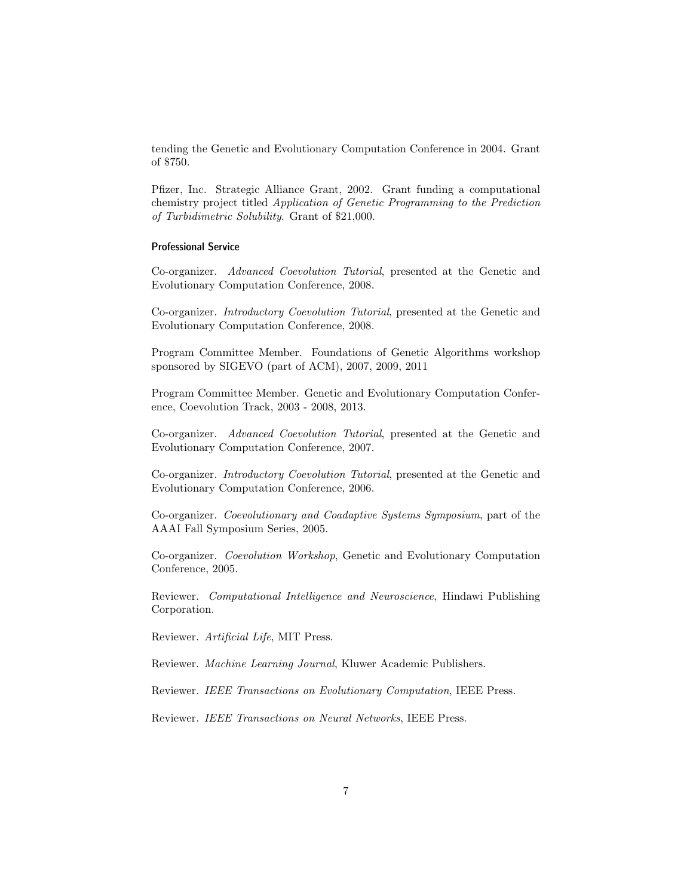tending the Genetic and Evolutionary Computation Conference in 2004. Grant of \$750.

Pfizer, Inc. Strategic Alliance Grant, 2002. Grant funding a computational chemistry project titled Application of Genetic Programming to the Prediction of Turbidimetric Solubility. Grant of \$21,000.

### Professional Service

Co-organizer. Advanced Coevolution Tutorial, presented at the Genetic and Evolutionary Computation Conference, 2008.

Co-organizer. Introductory Coevolution Tutorial, presented at the Genetic and Evolutionary Computation Conference, 2008.

Program Committee Member. Foundations of Genetic Algorithms workshop sponsored by SIGEVO (part of ACM), 2007, 2009, 2011

Program Committee Member. Genetic and Evolutionary Computation Conference, Coevolution Track, 2003 - 2008, 2013.

Co-organizer. Advanced Coevolution Tutorial, presented at the Genetic and Evolutionary Computation Conference, 2007.

Co-organizer. Introductory Coevolution Tutorial, presented at the Genetic and Evolutionary Computation Conference, 2006.

Co-organizer. Coevolutionary and Coadaptive Systems Symposium, part of the AAAI Fall Symposium Series, 2005.

Co-organizer. Coevolution Workshop, Genetic and Evolutionary Computation Conference, 2005.

Reviewer. Computational Intelligence and Neuroscience, Hindawi Publishing Corporation.

Reviewer. Artificial Life, MIT Press.

Reviewer. Machine Learning Journal, Kluwer Academic Publishers.

Reviewer. IEEE Transactions on Evolutionary Computation, IEEE Press.

Reviewer. IEEE Transactions on Neural Networks, IEEE Press.